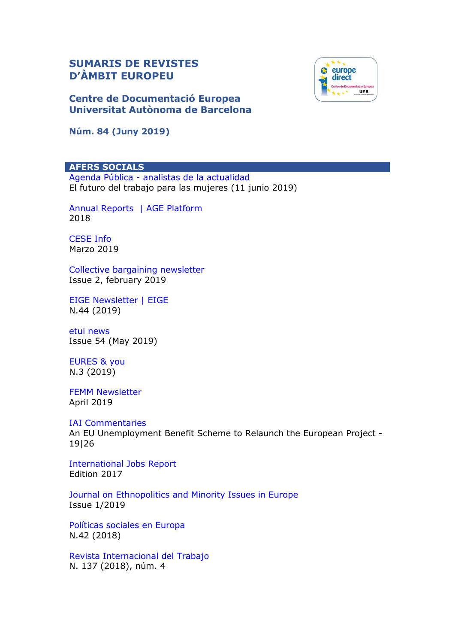# **SUMARIS DE REVISTES D'ÀMBIT EUROPEU**

**Centre de Documentació Europea Universitat Autònoma de Barcelona**

**Núm. 84 (Juny 2019)**

## **AFERS SOCIALS**

Agenda Pública - [analistas de la actualidad](http://agendapublica.elpais.com/) El futuro del trabajo para las mujeres (11 junio 2019)

[Annual Reports | AGE Platform](https://www.age-platform.eu/publications/annual-reports-rapports-annuels) 2018

[CESE Info](https://www.eesc.europa.eu/es/news-media/eesc-info) Marzo 2019

[Collective bargaining newsletter](http://www.etui.org/E-Newsletters/Collective-bargaining-newsletter) Issue 2, february 2019

[EIGE Newsletter | EIGE](https://eige.europa.eu/news-and-events/eige-newsletter) N.44 (2019)

[etui news](https://www.etui.org/Newsletter) Issue 54 (May 2019)

[EURES & you](https://ec.europa.eu/eures/main.jsp?lang=es&acro=news&subForNews=yes) N.3 (2019)

[FEMM Newsletter](http://www.europarl.europa.eu/committees/es/femm/newsletters.html) April 2019

### [IAI Commentaries](https://www.iai.it/en/pubblicazioni/lista/all/iai-commentaries)

An EU Unemployment Benefit Scheme to Relaunch the European Project - 19|26

[International Jobs Report](http://www.policycenter.ma/publications/international-jobs-report/2017) Edition 2017

[Journal on Ethnopolitics and Minority Issues in Europe](http://www.ecmi.de/publications/category/jemie/) Issue 1/2019

[Políticas sociales en Europa](https://dialnet.unirioja.es/servlet/revista?codigo=2169) N.42 (2018)

[Revista Internacional del Trabajo](http://www.ilo.org/public/spanish/revue/index.htm) N. 137 (2018), núm. 4

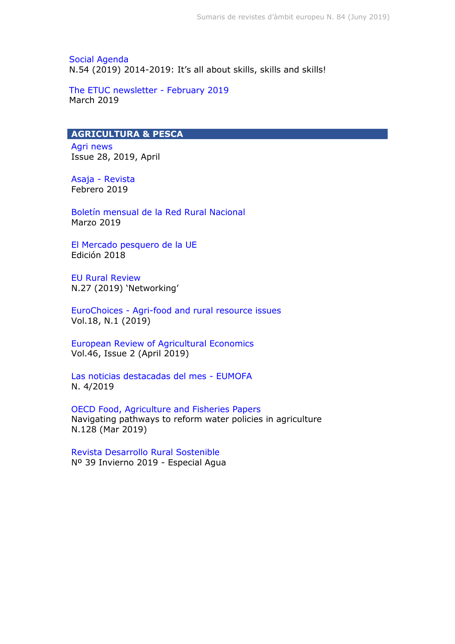[Social Agenda](http://ec.europa.eu/social/main.jsp?langId=en&catId=737&) N.54 (2019) 2014-2019: It's all about skills, skills and skills!

[The ETUC newsletter -](https://www.etuc.org/en/issue/newsletter) February 2019 March 2019

## **AGRICULTURA & PESCA**

[Agri news](http://www.europarl.europa.eu/committees/es/agri/newsletters.html) Issue 28, 2019, April

Asaja - [Revista](http://www.asaja.com/revista) Febrero 2019

[Boletín mensual de la Red Rural Nacional](http://www.redruralnacional.es/boletin-rrn) Marzo 2019

[El Mercado pesquero de la UE](https://www.eumofa.eu/market-analysis) Edición 2018

[EU Rural Review](https://enrd.ec.europa.eu/publications/search/_en?f%5B0%5D=im_field_enrd_publication_type%3A20482) N.27 (2019) 'Networking'

EuroChoices - [Agri-food and rural resource issues](https://onlinelibrary.wiley.com/toc/1746692x/2018/17/2) Vol.18, N.1 (2019)

[European Review of Agricultural Economics](https://academic.oup.com/erae) Vol.46, Issue 2 (April 2019)

[Las noticias destacadas del mes -](https://www.eumofa.eu/market-analysis) EUMOFA N. 4/2019

[OECD Food, Agriculture and Fisheries Papers](http://www.oecd-ilibrary.org/agriculture-and-food/oecd-food-agriculture-and-fisheries-working-papers_18156797) Navigating pathways to reform water policies in agriculture N.128 (Mar 2019)

[Revista Desarrollo Rural Sostenible](http://www.redruralnacional.es/boletin-de-la-red-rural-naciona) Nº 39 Invierno 2019 - Especial Agua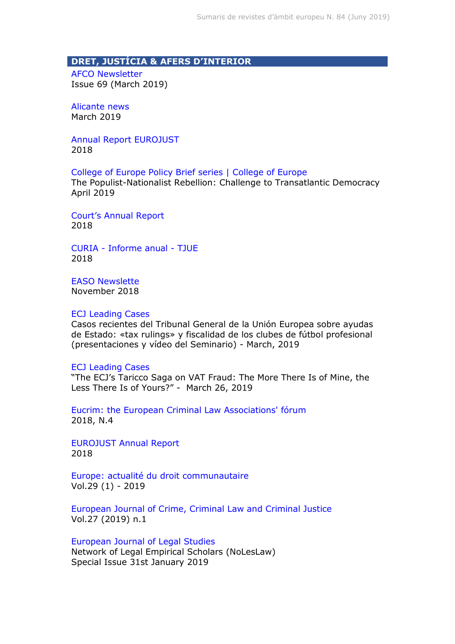## **DRET, JUSTÍCIA & AFERS D'INTERIOR**

[AFCO Newsletter](http://www.europarl.europa.eu/committees/es/afco/newsletters.html)  Issue 69 (March 2019)

[Alicante news](https://euipo.europa.eu/ohimportal/alicante-news) March 2019

[Annual Report EUROJUST](http://eurojust.europa.eu/doclibrary/corporate/Pages/annual-reports.aspx) 2018

[College of Europe Policy Brief series | College of Europe](https://www.coleurope.eu/research/publications/cepob-college-europe-policy-brief-series)

The Populist-Nationalist Rebellion: Challenge to Transatlantic Democracy April 2019

[Court's Annual Report](https://www.echr.coe.int/Pages/home.aspx?p=court/annualreports&c=) 2018

CURIA - [Informe anual -](https://curia.europa.eu/jcms/jcms/Jo2_7000/es/) TJUE 2018

[EASO Newslette](https://www.easo.europa.eu/news-events/easo-newsletter-0) November 2018

#### [ECJ Leading Cases](https://ecjleadingcases.wordpress.com/)

Casos recientes del Tribunal General de la Unión Europea sobre ayudas de Estado: «tax rulings» y fiscalidad de los clubes de fútbol profesional (presentaciones y vídeo del Seminario) - March, 2019

#### [ECJ Leading Cases](https://ecjleadingcases.wordpress.com/about/)

"The ECJ's Taricco Saga on VAT Fraud: The More There Is of Mine, the Less There Is of Yours?" - March 26, 2019

[Eucrim: the European Criminal Law Associations' fórum](https://dialnet.unirioja.es/servlet/revista?codigo=24728) 2018, N.4

[EUROJUST Annual Report](http://www.eurojust.europa.eu/doclibrary/corporate/Pages/annual-reports.aspx) 2018

[Europe: actualité du droit communautaire](https://dialnet.unirioja.es/servlet/revista?codigo=12886) Vol.29 (1) - 2019

[European Journal of Crime, Criminal Law and Criminal Justice](https://dialnet.unirioja.es/servlet/revista?codigo=8427) Vol.27 (2019) n.1

[European Journal of Legal Studies](https://ejls.eui.eu/category/issues/)

Network of Legal Empirical Scholars (NoLesLaw) Special Issue 31st January 2019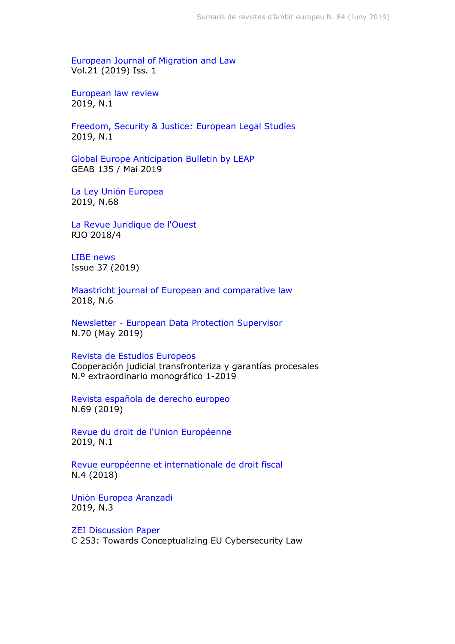[European Journal of Migration and Law](http://booksandjournals.brillonline.com/content/journals/15718166)  Vol.21 (2019) Iss. 1

[European law review](https://dialnet.unirioja.es/servlet/revista?codigo=573) 2019, N.1

[Freedom, Security & Justice: European Legal Studies](https://dialnet.unirioja.es/servlet/revista?codigo=25090) 2019, N.1

[Global Europe Anticipation Bulletin by LEAP](http://geab.eu/) GEAB 135 / Mai 2019

[La Ley Unión Europea](https://dialnet.unirioja.es/servlet/revista?codigo=22187) 2019, N.68

[La Revue Juridique de l'Ouest](https://iode.univ-rennes1.fr/la-revue-juridique-de-louest) RJO 2018/4

[LIBE news](http://www.europarl.europa.eu/committees/es/libe/newsletters.html) Issue 37 (2019)

[Maastricht journal of European and comparative law](https://dialnet.unirioja.es/servlet/revista?codigo=14995) 2018, N.6

Newsletter - [European Data Protection Supervisor](https://edps.europa.eu/press-publications/publications/newsletters_en) N.70 (May 2019)

#### [Revista de Estudios Europeos](http://www.ree-uva.es/)

Cooperación judicial transfronteriza y garantías procesales N.º extraordinario monográfico 1-2019

[Revista española de derecho europeo](https://dialnet.unirioja.es/servlet/revista?codigo=3157) N.69 (2019)

[Revue du droit de l'Union Européenne](https://dialnet.unirioja.es/servlet/revista?codigo=1272) 2019, N.1

[Revue européenne et internationale de droit fiscal](https://dialnet.unirioja.es/servlet/revista?codigo=23523) N.4 (2018)

[Unión Europea Aranzadi](https://dialnet.unirioja.es/servlet/revista?codigo=1713) 2019, N.3

[ZEI Discussion Paper](https://www.zei.uni-bonn.de/publications/zei-discussion-paper-1) C 253: Towards Conceptualizing EU Cybersecurity Law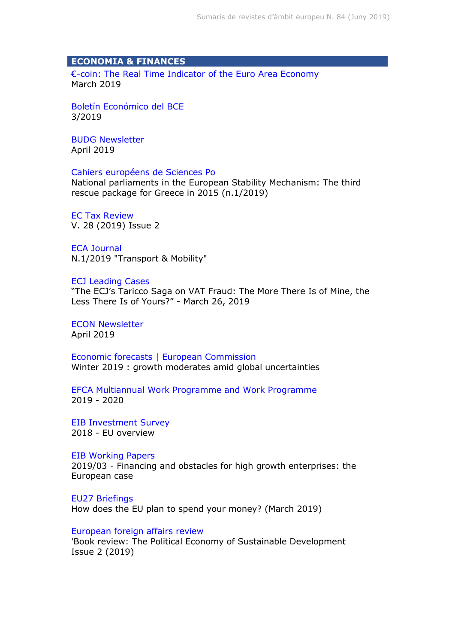## **ECONOMIA & FINANCES**

€[-coin: The Real Time Indicator of the Euro Area Economy](http://eurocoin.cepr.org/) March 2019

[Boletín Económico del BCE](https://www.bde.es/bde/es/secciones/informes/Publicaciones_de/boletin-economic/) 3/2019

[BUDG Newsletter](http://www.europarl.europa.eu/committees/es/budg/newsletters.html) April 2019

#### [Cahiers européens de Sciences Po](http://www.sciencespo.fr/centre-etudes-europeennes/en/content/cahiers-europeens-de-sciences-po)

National parliaments in the European Stability Mechanism: The third rescue package for Greece in 2015 (n.1/2019)

[EC Tax Review](http://www.kluwerlawonline.com/toc.php?area=Journals&mode=bypub&level=4&values=Journals~~EC+Tax+Review) V. 28 (2019) Issue 2

[ECA Journal](https://www.eca.europa.eu/en/Pages/Journal.aspx) N.1/2019 "Transport & Mobility"

#### [ECJ Leading Cases](https://ecjleadingcases.wordpress.com/about/)

"The ECJ's Taricco Saga on VAT Fraud: The More There Is of Mine, the Less There Is of Yours?" - March 26, 2019

[ECON Newsletter](http://www.europarl.europa.eu/committees/es/econ/newsletters.html) April 2019

[Economic forecasts | European Commission](https://ec.europa.eu/info/business-economy-euro/economic-performance-and-forecasts/economic-forecasts_en) Winter 2019 : growth moderates amid global uncertainties

[EFCA Multiannual Work Programme and Work Programme](https://www.efca.europa.eu/es/media-kits) 2019 - 2020

[EIB Investment Survey](http://www.eib.org/en/infocentre/publications/all/econ-eibis-2018-eu-overview.htm) 2018 - EU overview

#### [EIB Working Papers](http://www.eib.org/en/infocentre/publications/all/economics-working-paper-2018-07.htm)

2019/03 - Financing and obstacles for high growth enterprises: the European case

[EU27 Briefings](https://www.iiea.com/item/briefings/eu27-briefings/) How does the EU plan to spend your money? (March 2019)

### [European foreign affairs review](https://dialnet.unirioja.es/servlet/revista?codigo=21470)

'Book review: The Political Economy of Sustainable Development Issue 2 (2019)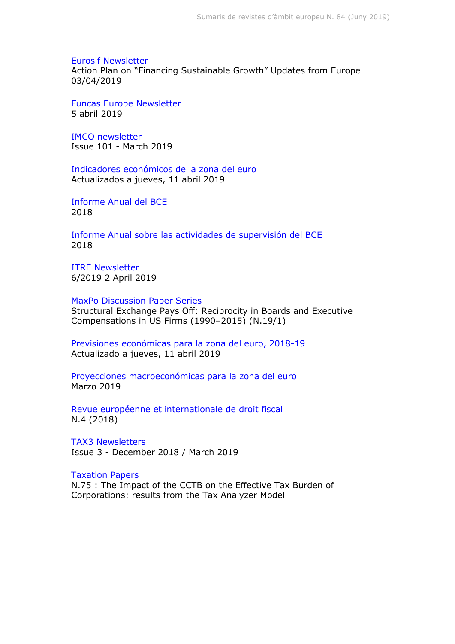[Eurosif Newsletter](http://www.eurosif.org/newsletter-archive/) Action Plan on "Financing Sustainable Growth" Updates from Europe 03/04/2019

[Funcas Europe Newsletter](https://www.funcas.es/funcaseurope/) 5 abril 2019

[IMCO newsletter](http://www.europarl.europa.eu/committees/es/imco/newsletters.html) Issue 101 - March 2019

[Indicadores económicos de la zona del euro](https://www.funcas.es/funcaseurope/eaei/2019-04-11) Actualizados a jueves, 11 abril 2019

[Informe Anual del BCE](https://www.bde.es/bde/es/secciones/informes/Publicaciones_de/Informe_Anual_de/) 2018

[Informe Anual sobre las actividades de supervisión del BCE](https://www.bde.es/bde/es/secciones/informes/Publicaciones_de/inform-anual-mus/) 2018

[ITRE Newsletter](http://www.europarl.europa.eu/committees/es/itre/newsletters.html) 6/2019 2 April 2019

[MaxPo Discussion Paper Series](http://www.maxpo.eu/publications_DP.asp) Structural Exchange Pays Off: Reciprocity in Boards and Executive Compensations in US Firms (1990–2015) (N.19/1)

[Previsiones económicas para la zona del euro, 2018-19](https://www.funcas.es/funcaseurope/peze/2019-04-11) Actualizado a jueves, 11 abril 2019

[Proyecciones macroeconómicas para la zona del euro](https://www.bde.es/bde/es/secciones/informes/Publicaciones_de/Proyecciones_mac/) Marzo 2019

[Revue européenne et internationale de droit fiscal](https://dialnet.unirioja.es/servlet/revista?codigo=23523) N.4 (2018)

[TAX3 Newsletters](http://www.europarl.europa.eu/committees/es/tax3/newsletters.html) Issue 3 - December 2018 / March 2019

[Taxation Papers](https://ec.europa.eu/taxation_customs/publications/taxation-services-papers/taxation-papers_en)

N.75 : The Impact of the CCTB on the Effective Tax Burden of Corporations: results from the Tax Analyzer Model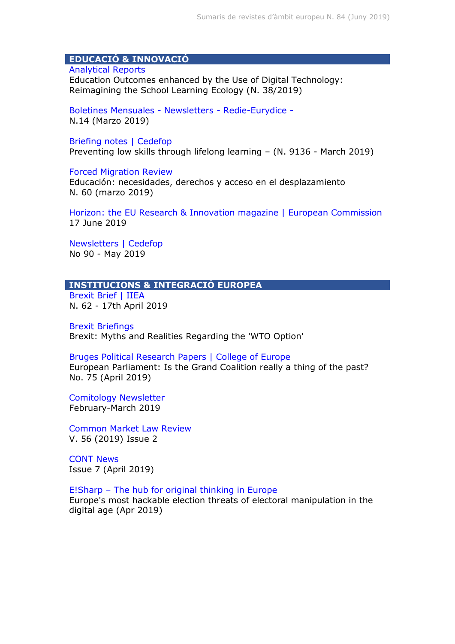## **EDUCACIÓ & INNOVACIÓ**

### [Analytical Reports](http://www.eenee.de/eeneeHome/EENEE/Analytical-Reports.html)

Education Outcomes enhanced by the Use of Digital Technology: Reimagining the School Learning Ecology (N. 38/2019)

[Boletines Mensuales -](https://www.mecd.gob.es/educacion/mc/redie-eurydice/inicio/boletines-mensuales.html) Newsletters - Redie-Eurydice - N.14 (Marzo 2019)

#### [Briefing notes | Cedefop](http://www.cedefop.europa.eu/en/publications-and-resources/briefing-notes)

Preventing low skills through lifelong learning – (N. 9136 - March 2019)

#### [Forced Migration Review](https://www.fmreview.org/es)

Educación: necesidades, derechos y acceso en el desplazamiento N. 60 (marzo 2019)

[Horizon: the EU Research & Innovation magazine | European Commission](https://horizon-magazine.eu/) 17 June 2019

[Newsletters | Cedefop](http://www.cedefop.europa.eu/en/news-and-press/newsletters) No 90 - May 2019

## **INSTITUCIONS & INTEGRACIÓ EUROPEA**

[Brexit Brief | IIEA](https://www.iiea.com/brexit/brexit-blog/brexit-brief-62/) N. 62 - 17th April 2019

[Brexit Briefings](https://www.iiea.com/item/briefings/brexit-briefings/) Brexit: Myths and Realities Regarding the 'WTO Option'

### [Bruges Political Research Papers | College of Europe](https://www.coleurope.eu/study/european-political-and-administrative-studies/research-publications/bruges-political-research)

European Parliament: Is the Grand Coalition really a thing of the past? No. 75 (April 2019)

[Comitology Newsletter](http://www.eppa.com/news) February-March 2019

[Common Market Law Review](http://www.kluwerlawonline.com/toc.php?area=Journals&mode=bypub&level=4&values=Journals~~Common+Market+Law+Review) V. 56 (2019) Issue 2

[CONT News](http://www.europarl.europa.eu/committees/es/cont/newsletters.html) Issue 7 (April 2019)

## E!Sharp – [The hub for original thinking in Europe](http://esharp.eu/)

Europe's most hackable election threats of electoral manipulation in the digital age (Apr 2019)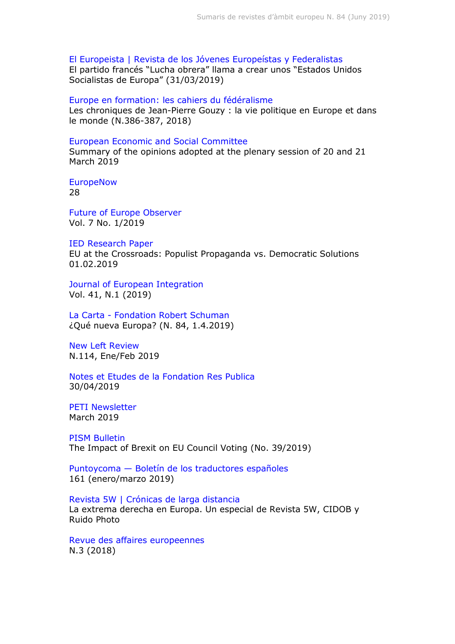[El Europeista | Revista de los Jóvenes Europeístas y Federalistas](https://www.eleuropeista.eu/) El partido francés "Lucha obrera" llama a crear unos "Estados Unidos Socialistas de Europa" (31/03/2019)

[Europe en formation: les cahiers du fédéralisme](https://dialnet.unirioja.es/servlet/revista?codigo=15364) Les chroniques de Jean-Pierre Gouzy : la vie politique en Europe et dans le monde (N.386-387, 2018)

#### [European Economic and Social Committee](https://www.eesc.europa.eu/es/our-work/opinions-information-reports/plenary-session-summaries)

Summary of the opinions adopted at the plenary session of 20 and 21 March 2019

**[EuropeNow](https://www.europenowjournal.org/issues/current-issue/)** 28

[Future of Europe Observer](https://www.zei.uni-bonn.de/publications/future-of-europe-observer) Vol. 7 No. 1/2019

[IED Research Paper](https://www.iedonline.eu/publications/) EU at the Crossroads: Populist Propaganda vs. Democratic Solutions 01.02.2019

[Journal of European Integration](https://www.tandfonline.com/toc/geui20/current) Vol. 41, N.1 (2019)

La Carta - [Fondation Robert Schuman](https://www.robert-schuman.eu/es/la-carta/829) ¿Qué nueva Europa? (N. 84, 1.4.2019)

[New Left Review](http://newleftreview.es/) N.114, Ene/Feb 2019

[Notes et Etudes de la Fondation Res Publica](http://www.fondation-res-publica.org/Notes-et-Etudes-de-la-Fondation-Res-Publica_r35.html) 30/04/2019

[PETI Newsletter](http://www.europarl.europa.eu/committees/es/peti/newsletters.html) March 2019

[PISM Bulletin](http://www.pism.pl/bulletin) The Impact of Brexit on EU Council Voting (No. 39/2019)

Puntoycoma — [Boletín de los traductores españoles](http://ec.europa.eu/translation/spanish/magazine/es_magazine_es.htm) 161 (enero/marzo 2019)

[Revista 5W | Crónicas de larga distancia](https://www.revista5w.com/) La extrema derecha en Europa. Un especial de Revista 5W, CIDOB y Ruido Photo

[Revue des affaires europeennes](https://dialnet.unirioja.es/servlet/revista?codigo=1267) N.3 (2018)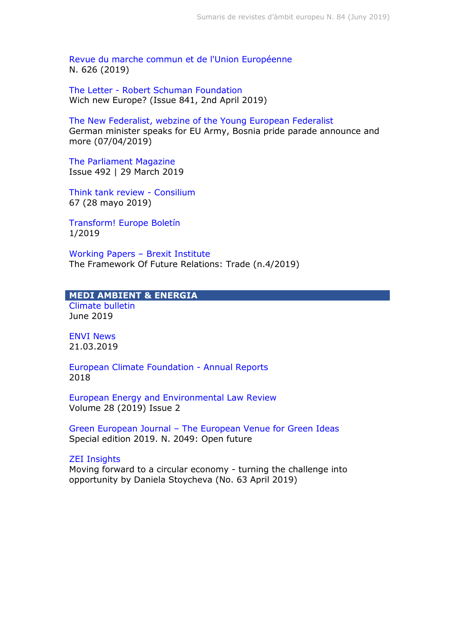[Revue du marche commun et de l'Union Européenne](https://dialnet.unirioja.es/servlet/revista?codigo=1275) N. 626 (2019)

The Letter - [Robert Schuman Foundation](http://www.robert-schuman.eu/en/the-letter/769) Wich new Europe? (Issue 841, 2nd April 2019)

[The New Federalist, webzine of the Young European Federalist](https://www.thenewfederalist.eu/) German minister speaks for EU Army, Bosnia pride parade announce and more (07/04/2019)

[The Parliament Magazine](https://www.theparliamentmagazine.eu/articles/magazines/issue-492-29-march-2019) Issue 492 | 29 March 2019

[Think tank review -](https://www.consilium.europa.eu/es/documents-publications/library/library-blog/think-tank-review/) Consilium 67 (28 mayo 2019)

[Transform! Europe Boletín](https://www.transform-network.net/es/boletin/) 1/2019

[Working Papers](http://dcubrexitinstitute.eu/working-papers/) – Brexit Institute The Framework Of Future Relations: Trade (n.4/2019)

#### **MEDI AMBIENT & ENERGIA** [Climate bulletin](https://climate.copernicus.eu/climate-bulletins)

June 2019

[ENVI News](http://www.europarl.europa.eu/committees/es/envi/newsletters.html) 21.03.2019

[European Climate Foundation -](https://europeanclimate.org/category/news/ecf-annual-reports/) Annual Reports 2018

[European Energy and Environmental Law Review](http://www.kluwerlawonline.com/toc.php?area=Journals&mode=bypub&level=4&values=Journals~~European+Energy+and+Environmental+Law+Review) Volume 28 (2019) Issue 2

Green European Journal – [The European Venue for Green Ideas](http://www.greeneuropeanjournal.eu/) Special edition 2019. N. 2049: Open future

## [ZEI Insights](https://www.zei.uni-bonn.de/publications/zei-insights)

Moving forward to a circular economy - turning the challenge into opportunity by Daniela Stoycheva (No. 63 April 2019)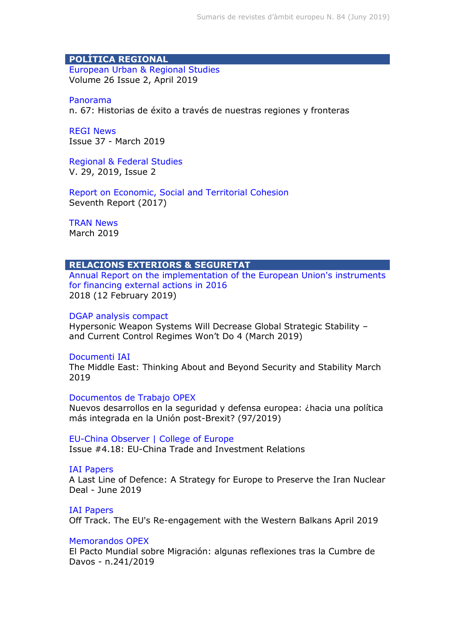## **POLÍTICA REGIONAL**

[European Urban & Regional Studies](https://dialnet.unirioja.es/servlet/revista?codigo=20811) Volume 26 Issue 2, April 2019

[Panorama](https://ec.europa.eu/regional_policy/es/information/publications/panorama-magazine/2018/panorama-67-success-stories-across-our-regions-and-borders) n. 67: Historias de éxito a través de nuestras regiones y fronteras

[REGI News](http://www.europarl.europa.eu/committees/es/regi/newsletters.html) Issue 37 - March 2019

[Regional & Federal Studies](http://www.tandfonline.com/toc/frfs20/current) V. 29, 2019, Issue 2

[Report on Economic, Social and Territorial Cohesion](https://ec.europa.eu/regional_policy/en/information/cohesion-report/) Seventh Report (2017)

[TRAN News](http://www.europarl.europa.eu/committees/es/tran/newsletters.html) March 2019

## **RELACIONS EXTERIORS & SEGURETAT**

[Annual Report on the implementation of the European Union's instruments](https://ec.europa.eu/europeaid/2017-annual-report-implementation-european-unions-instruments-financing-external-actions-2016_en)  [for financing external actions in](https://ec.europa.eu/europeaid/2017-annual-report-implementation-european-unions-instruments-financing-external-actions-2016_en) 2016 2018 (12 February 2019)

## [DGAP analysis compact](https://dgap.org/en/think-tank/publications/dgap_analysis_compact)

Hypersonic Weapon Systems Will Decrease Global Strategic Stability – and Current Control Regimes Won't Do 4 (March 2019)

#### [Documenti IAI](https://www.iai.it/en/pubblicazioni/lista/all/documenti-iai)

The Middle East: Thinking About and Beyond Security and Stability March 2019

### [Documentos de Trabajo OPEX](http://www.fundacionalternativas.org/observatorio-de-politica-exterior-opex/documentos/documentos-de-trabajo)

Nuevos desarrollos en la seguridad y defensa europea: ¿hacia una política más integrada en la Unión post-Brexit? (97/2019)

#### [EU-China Observer | College of Europe](https://www.coleurope.eu/study/eu-international-relations-and-diplomacy-studies/eu-china-relations/eu-china-observer)

Issue #4.18: EU-China Trade and Investment Relations

#### [IAI Papers](https://www.iai.it/en/pubblicazioni/lista/all/iai-papers)

A Last Line of Defence: A Strategy for Europe to Preserve the Iran Nuclear Deal - June 2019

#### [IAI Papers](https://www.iai.it/en/pubblicazioni/lista/all/iai-papers)

Off Track. The EU's Re-engagement with the Western Balkans April 2019

#### [Memorandos OPEX](http://www.fundacionalternativas.org/observatorio-de-politica-exterior-opex/documentos/memorandos)

El Pacto Mundial sobre Migración: algunas reflexiones tras la Cumbre de Davos - n.241/2019